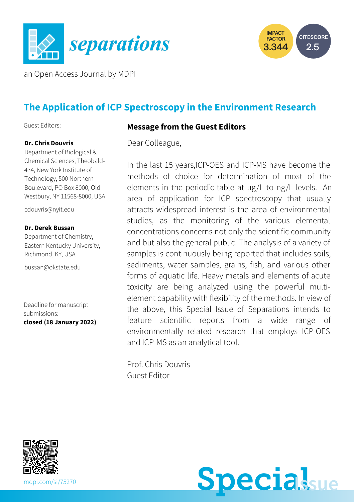



an Open Access Journal by MDPI

# **The Application of ICP Spectroscopy in the Environment Research**

Guest Editors:

#### **Dr. Chris Douvris**

Department of Biological & Chemical Sciences, Theobald-434, New York Institute of Technology, 500 Northern Boulevard, PO Box 8000, Old Westbury, NY 11568-8000, USA

[cdouvris@nyit.edu](mailto:cdouvris@nyit.edu)

#### **Dr. Derek Bussan**

Department of Chemistry, Eastern Kentucky University, Richmond, KY, USA

[bussan@okstate.edu](mailto:bussan@okstate.edu)

Deadline for manuscript submissions: **closed (18 January 2022)**

#### **Message from the Guest Editors**

Dear Colleague,

In the last 15 years,ICP-OES and ICP-MS have become the methods of choice for determination of most of the elements in the periodic table at µg/L to ng/L levels. An area of application for ICP spectroscopy that usually attracts widespread interest is the area of environmental studies, as the monitoring of the various elemental concentrations concerns not only the scientific community and but also the general public. The analysis of a variety of samples is continuously being reported that includes soils, sediments, water samples, grains, fish, and various other forms of aquatic life. Heavy metals and elements of acute toxicity are being analyzed using the powerful multielement capability with flexibility of the methods. In view of the above, this Special Issue of Separations intends to feature scientific reports from a wide range of environmentally related research that employs ICP-OES and ICP-MS as an analytical tool.

Prof. Chris Douvris Guest Editor